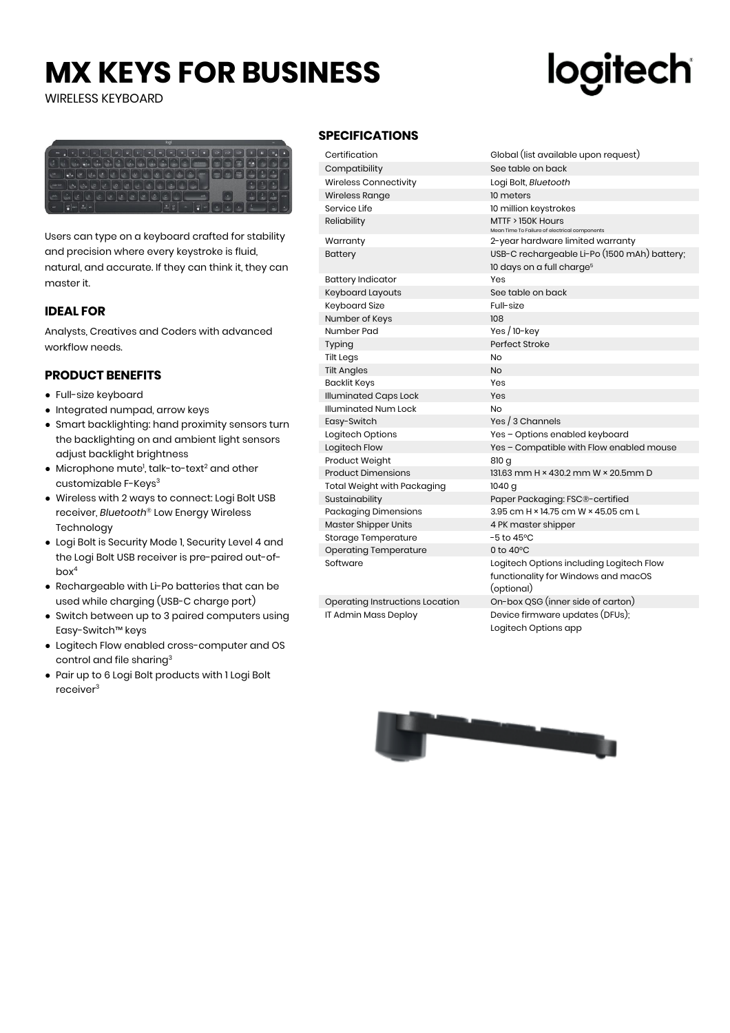## **MX KEYS FOR BUSINESS**

WIRELESS KEYBOARD

# logitech



Users can type on a keyboard crafted for stability and precision where every keystroke is fluid, natural, and accurate. If they can think it, they can master it.

## **IDEAL FOR**

Analysts, Creatives and Coders with advanced workflow needs.

## **PRODUCT BENEFITS**

- Full-size keyboard
- Integrated numpad, arrow keys
- Smart backlighting: hand proximity sensors turn the backlighting on and ambient light sensors adjust backlight brightness
- $\bullet$  Microphone mute<sup>1</sup>, talk-to-text<sup>2</sup> and other customizable F-Keys<sup>3</sup>
- Wireless with 2 ways to connect: Logi Bolt USB receiver, *Bluetooth*® Low Energy Wireless Technology
- Logi Bolt is Security Mode 1, Security Level 4 and the Logi Bolt USB receiver is pre-paired out-ofbox<sup>4</sup>
- Rechargeable with Li-Po batteries that can be used while charging (USB-C charge port)
- Switch between up to 3 paired computers using Easy-Switch™ keys
- Logitech Flow enabled cross-computer and OS control and file sharing<sup>3</sup>
- Pair up to 6 Logi Bolt products with 1 Logi Bolt receiver<sup>3</sup>

## **SPECIFICATIONS**

| PECIFICATIONS                   |                                                                                               |
|---------------------------------|-----------------------------------------------------------------------------------------------|
| Certification                   | Global (list available upon request)                                                          |
| Compatibility                   | See table on back                                                                             |
| Wireless Connectivity           | Logi Bolt, Bluetooth                                                                          |
| Wireless Range                  | 10 meters                                                                                     |
| Service Life                    | 10 million keystrokes                                                                         |
| Reliability                     | MTTF > 150K Hours<br>Mean Time To Failure of electrical components                            |
| Warranty                        | 2-year hardware limited warranty                                                              |
| Battery                         | USB-C rechargeable Li-Po (1500 mAh) battery;<br>10 days on a full charge <sup>5</sup>         |
| <b>Battery Indicator</b>        | Yes                                                                                           |
| Keyboard Layouts                | See table on back                                                                             |
| Keyboard Size                   | Full-size                                                                                     |
| Number of Keys                  | 108                                                                                           |
| Number Pad                      | Yes $/$ 10-key                                                                                |
| Typing                          | Perfect Stroke                                                                                |
| Tilt Legs                       | <b>No</b>                                                                                     |
| <b>Tilt Angles</b>              | <b>No</b>                                                                                     |
| <b>Backlit Keys</b>             | Yes                                                                                           |
| <b>Illuminated Caps Lock</b>    | Yes                                                                                           |
| Illuminated Num Lock            | <b>No</b>                                                                                     |
| Easy-Switch                     | Yes / 3 Channels                                                                              |
| Logitech Options                | Yes - Options enabled keyboard                                                                |
| Logitech Flow                   | Yes - Compatible with Flow enabled mouse                                                      |
| Product Weight                  | 810 g                                                                                         |
| <b>Product Dimensions</b>       | 131.63 mm H × 430.2 mm W × 20.5mm D                                                           |
| Total Weight with Packaging     | 1040 g                                                                                        |
| Sustainability                  | Paper Packaging: FSC®-certified                                                               |
| Packaging Dimensions            | 3.95 cm H × 14.75 cm W × 45.05 cm L                                                           |
| Master Shipper Units            | 4 PK master shipper                                                                           |
| Storage Temperature             | $-5$ to 45 $^{\circ}$ C                                                                       |
| Operating Temperature           | 0 to $40^{\circ}$ C                                                                           |
| Software                        | Logitech Options including Logitech Flow<br>functionality for Windows and macOS<br>(optional) |
| Operating Instructions Location | On-box QSG (inner side of carton)                                                             |
| IT Admin Mass Deploy            | Device firmware updates (DFUs);<br>Logitech Options app                                       |